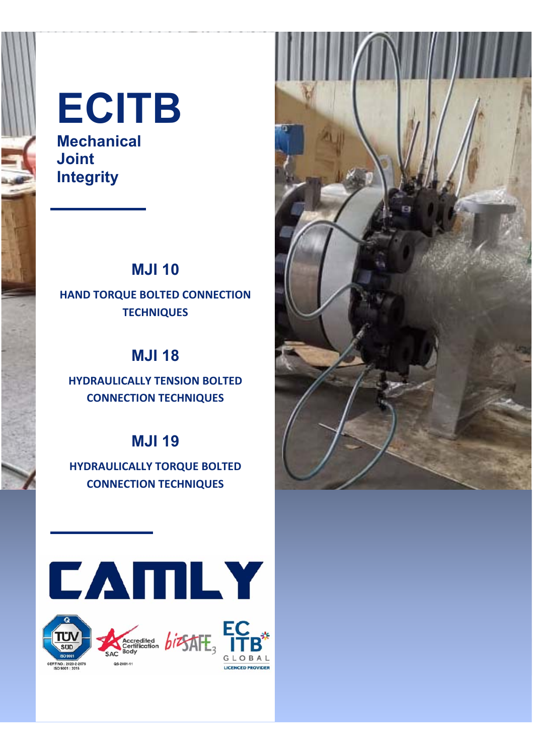

**Mechanical Joint Integrity** 

### **MJI 10**

### **HAND TORQUE BOLTED CONNECTION TECHNIQUES**

### **MJI 18**

**HYDRAULICALLY TENSION BOLTED CONNECTION TECHNIQUES** 

### **MJI 19**

**HYDRAULICALLY TORQUE BOLTED CONNECTION TECHNIQUES** 



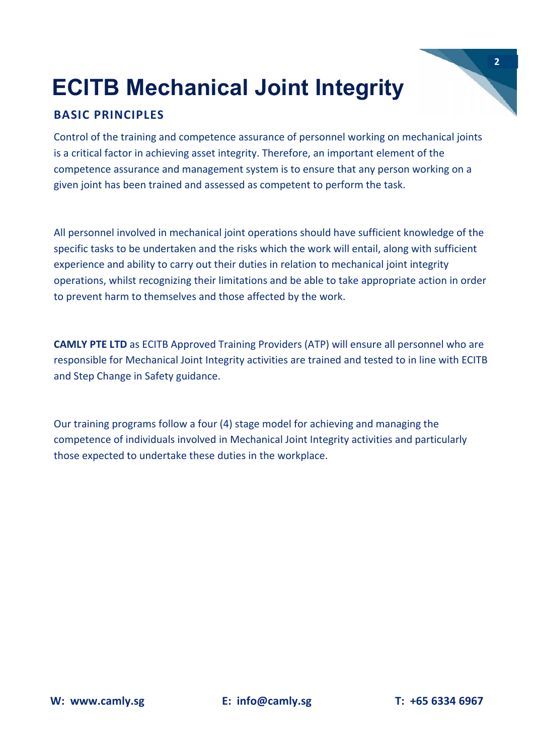#### **BASIC PRINCIPLES**

Control of the training and competence assurance of personnel working on mechanical joints is a critical factor in achieving asset integrity. Therefore, an important element of the competence assurance and management system is to ensure that any person working on a given joint has been trained and assessed as competent to perform the task.

All personnel involved in mechanical joint operations should have sufficient knowledge of the specific tasks to be undertaken and the risks which the work will entail, along with sufficient experience and ability to carry out their duties in relation to mechanical joint integrity operations, whilst recognizing their limitations and be able to take appropriate action in order to prevent harm to themselves and those affected by the work.

**CAMLY PTE LTD** as ECITB Approved Training Providers (ATP) will ensure all personnel who are responsible for Mechanical Joint Integrity activities are trained and tested to in line with ECITB and Step Change in Safety guidance.

Our training programs follow a four (4) stage model for achieving and managing the competence of individuals involved in Mechanical Joint Integrity activities and particularly those expected to undertake these duties in the workplace.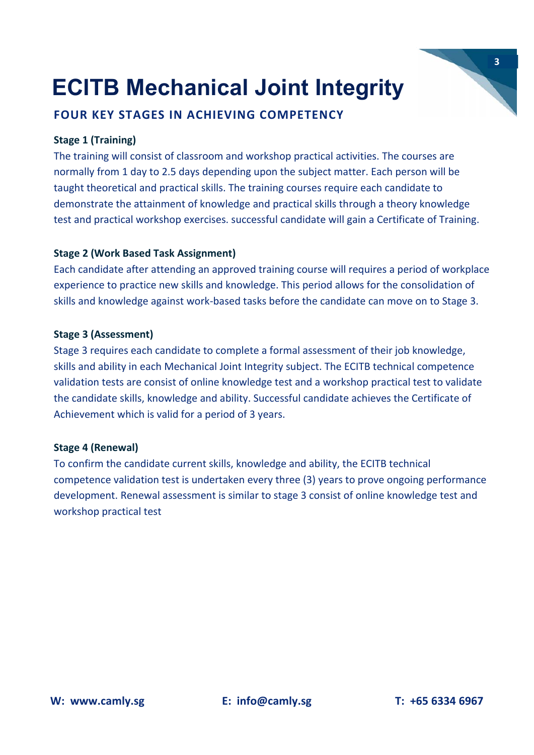#### **FOUR KEY STAGES IN ACHIEVING COMPETENCY**

#### **Stage 1 (Training)**

The training will consist of classroom and workshop practical activities. The courses are normally from 1 day to 2.5 days depending upon the subject matter. Each person will be taught theoretical and practical skills. The training courses require each candidate to demonstrate the attainment of knowledge and practical skills through a theory knowledge test and practical workshop exercises. successful candidate will gain a Certificate of Training.

#### **Stage 2 (Work Based Task Assignment)**

Each candidate after attending an approved training course will requires a period of workplace experience to practice new skills and knowledge. This period allows for the consolidation of skills and knowledge against work‐based tasks before the candidate can move on to Stage 3.

#### **Stage 3 (Assessment)**

Stage 3 requires each candidate to complete a formal assessment of their job knowledge, skills and ability in each Mechanical Joint Integrity subject. The ECITB technical competence validation tests are consist of online knowledge test and a workshop practical test to validate the candidate skills, knowledge and ability. Successful candidate achieves the Certificate of Achievement which is valid for a period of 3 years.

#### **Stage 4 (Renewal)**

To confirm the candidate current skills, knowledge and ability, the ECITB technical competence validation test is undertaken every three (3) years to prove ongoing performance development. Renewal assessment is similar to stage 3 consist of online knowledge test and workshop practical test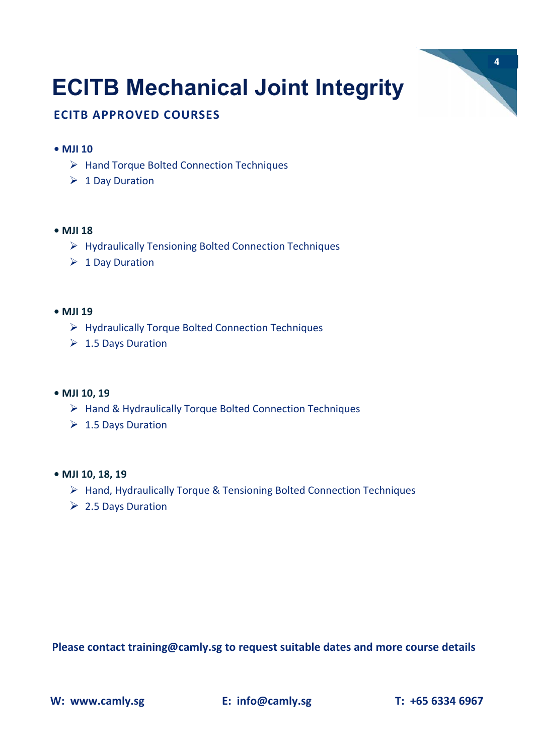

#### **ECITB APPROVED COURSES**

#### **• MJI 10**

- ▶ Hand Torque Bolted Connection Techniques
- $\triangleright$  1 Day Duration

#### **• MJI 18**

- $\triangleright$  Hydraulically Tensioning Bolted Connection Techniques
- $\triangleright$  1 Day Duration

#### **• MJI 19**

- $\triangleright$  Hydraulically Torque Bolted Connection Techniques
- $\geq 1.5$  Days Duration

#### **• MJI 10, 19**

- $\triangleright$  Hand & Hydraulically Torque Bolted Connection Techniques
- $\geq 1.5$  Days Duration

#### **• MJI 10, 18, 19**

- $\triangleright$  Hand, Hydraulically Torque & Tensioning Bolted Connection Techniques
- $\geq 2.5$  Days Duration

**Please contact training@camly.sg to request suitable dates and more course details** 

**W: www.camly.sg E: info@camly.sg T: +65 6334 6967**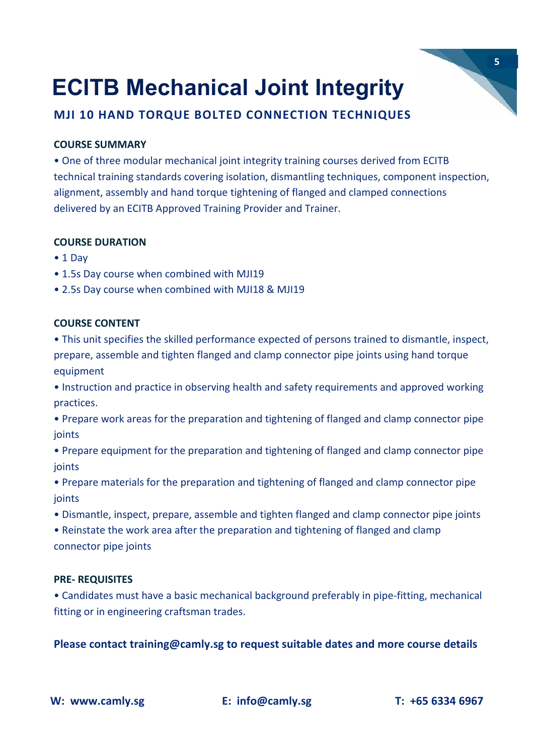#### **MJI 10 HAND TORQUE BOLTED CONNECTION TECHNIQUES**

#### **COURSE SUMMARY**

• One of three modular mechanical joint integrity training courses derived from ECITB technical training standards covering isolation, dismantling techniques, component inspection, alignment, assembly and hand torque tightening of flanged and clamped connections delivered by an ECITB Approved Training Provider and Trainer.

#### **COURSE DURATION**

- 1 Day
- 1.5s Day course when combined with MJI19
- 2.5s Day course when combined with MJI18 & MJI19

#### **COURSE CONTENT**

• This unit specifies the skilled performance expected of persons trained to dismantle, inspect, prepare, assemble and tighten flanged and clamp connector pipe joints using hand torque equipment

- Instruction and practice in observing health and safety requirements and approved working practices.
- Prepare work areas for the preparation and tightening of flanged and clamp connector pipe joints
- Prepare equipment for the preparation and tightening of flanged and clamp connector pipe ioints
- Prepare materials for the preparation and tightening of flanged and clamp connector pipe ioints
- Dismantle, inspect, prepare, assemble and tighten flanged and clamp connector pipe joints
- Reinstate the work area after the preparation and tightening of flanged and clamp connector pipe joints

#### **PRE‐ REQUISITES**

• Candidates must have a basic mechanical background preferably in pipe‐fitting, mechanical fitting or in engineering craftsman trades.

**Please contact training@camly.sg to request suitable dates and more course details**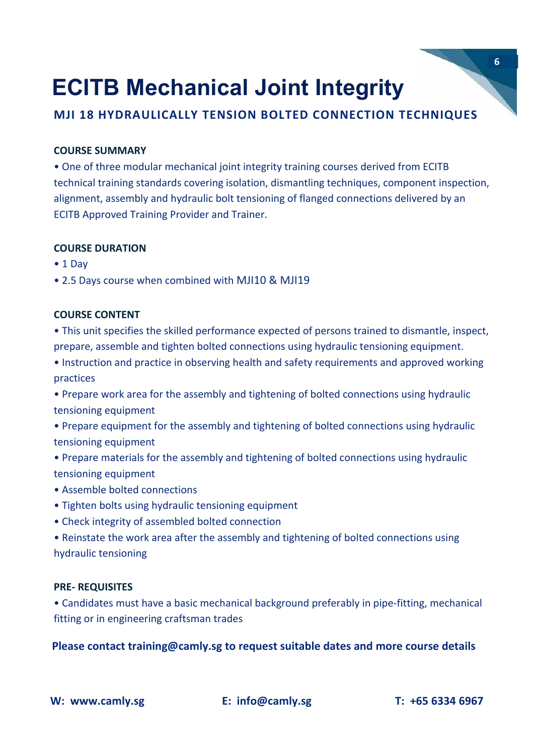**MJI 18 HYDRAULICALLY TENSION BOLTED CONNECTION TECHNIQUES** 

#### **COURSE SUMMARY**

• One of three modular mechanical joint integrity training courses derived from ECITB technical training standards covering isolation, dismantling techniques, component inspection, alignment, assembly and hydraulic bolt tensioning of flanged connections delivered by an ECITB Approved Training Provider and Trainer.

#### **COURSE DURATION**

- 1 Day
- 2.5 Days course when combined with MJI10 & MJI19

#### **COURSE CONTENT**

• This unit specifies the skilled performance expected of persons trained to dismantle, inspect, prepare, assemble and tighten bolted connections using hydraulic tensioning equipment.

• Instruction and practice in observing health and safety requirements and approved working practices

• Prepare work area for the assembly and tightening of bolted connections using hydraulic tensioning equipment

- Prepare equipment for the assembly and tightening of bolted connections using hydraulic tensioning equipment
- Prepare materials for the assembly and tightening of bolted connections using hydraulic tensioning equipment
- Assemble bolted connections
- Tighten bolts using hydraulic tensioning equipment
- Check integrity of assembled bolted connection

• Reinstate the work area after the assembly and tightening of bolted connections using hydraulic tensioning

#### **PRE‐ REQUISITES**

• Candidates must have a basic mechanical background preferably in pipe‐fitting, mechanical fitting or in engineering craftsman trades

**Please contact training@camly.sg to request suitable dates and more course details**